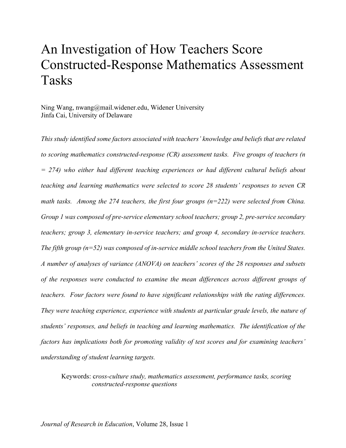# An Investigation of How Teachers Score Constructed-Response Mathematics Assessment Tasks

Ning Wang, nwang@mail.widener.edu, Widener University Jinfa Cai, University of Delaware

*This study identified some factors associated with teachers' knowledge and beliefs that are related to scoring mathematics constructed-response (CR) assessment tasks. Five groups of teachers (n = 274) who either had different teaching experiences or had different cultural beliefs about teaching and learning mathematics were selected to score 28 students' responses to seven CR math tasks. Among the 274 teachers, the first four groups (n=222) were selected from China. Group 1 was composed of pre-service elementary school teachers; group 2, pre-service secondary teachers; group 3, elementary in-service teachers; and group 4, secondary in-service teachers. The fifth group (n=52) was composed of in-service middle school teachers from the United States. A number of analyses of variance (ANOVA) on teachers' scores of the 28 responses and subsets of the responses were conducted to examine the mean differences across different groups of teachers. Four factors were found to have significant relationships with the rating differences. They were teaching experience, experience with students at particular grade levels, the nature of students' responses, and beliefs in teaching and learning mathematics. The identification of the factors has implications both for promoting validity of test scores and for examining teachers' understanding of student learning targets.* 

Keywords: c*ross-culture study, mathematics assessment, performance tasks, scoring constructed-response questions*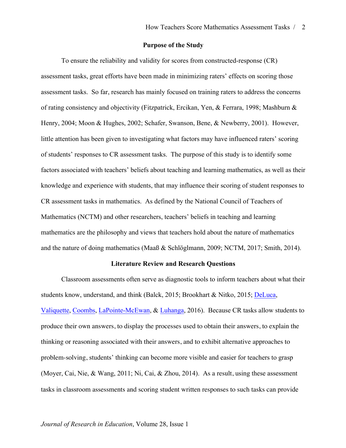#### **Purpose of the Study**

To ensure the reliability and validity for scores from constructed-response (CR) assessment tasks, great efforts have been made in minimizing raters' effects on scoring those assessment tasks. So far, research has mainly focused on training raters to address the concerns of rating consistency and objectivity (Fitzpatrick, Ercikan, Yen, & Ferrara, 1998; Mashburn & Henry, 2004; Moon & Hughes, 2002; Schafer, Swanson, Bene, & Newberry, 2001). However, little attention has been given to investigating what factors may have influenced raters' scoring of students' responses to CR assessment tasks. The purpose of this study is to identify some factors associated with teachers' beliefs about teaching and learning mathematics, as well as their knowledge and experience with students, that may influence their scoring of student responses to CR assessment tasks in mathematics. As defined by the National Council of Teachers of Mathematics (NCTM) and other researchers, teachers' beliefs in teaching and learning mathematics are the philosophy and views that teachers hold about the nature of mathematics and the nature of doing mathematics (Maaß & Schlöglmann, 2009; NCTM, 2017; Smith, 2014).

#### **Literature Review and Research Questions**

Classroom assessments often serve as diagnostic tools to inform teachers about what their students know, understand, and think (Balck, 2015; Brookhart & Nitko, 2015; DeLuca, Valiquette, Coombs, LaPointe-McEwan, & Luhanga, 2016). Because CR tasks allow students to produce their own answers, to display the processes used to obtain their answers, to explain the thinking or reasoning associated with their answers, and to exhibit alternative approaches to problem-solving, students' thinking can become more visible and easier for teachers to grasp (Moyer, Cai, Nie, & Wang, 2011; Ni, Cai, & Zhou, 2014). As a result, using these assessment tasks in classroom assessments and scoring student written responses to such tasks can provide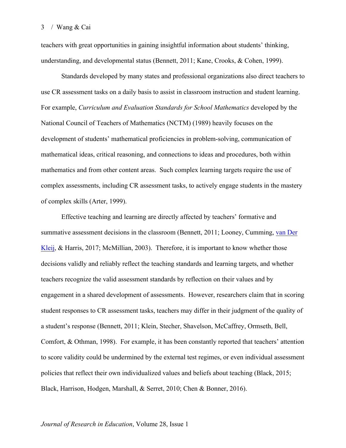teachers with great opportunities in gaining insightful information about students' thinking, understanding, and developmental status (Bennett, 2011; Kane, Crooks, & Cohen, 1999).

Standards developed by many states and professional organizations also direct teachers to use CR assessment tasks on a daily basis to assist in classroom instruction and student learning. For example, *Curriculum and Evaluation Standards for School Mathematics* developed by the National Council of Teachers of Mathematics (NCTM) (1989) heavily focuses on the development of students' mathematical proficiencies in problem-solving, communication of mathematical ideas, critical reasoning, and connections to ideas and procedures, both within mathematics and from other content areas. Such complex learning targets require the use of complex assessments, including CR assessment tasks, to actively engage students in the mastery of complex skills (Arter, 1999).

Effective teaching and learning are directly affected by teachers' formative and summative assessment decisions in the classroom (Bennett, 2011; Looney, Cumming, van Der Kleij, & Harris, 2017; McMillian, 2003). Therefore, it is important to know whether those decisions validly and reliably reflect the teaching standards and learning targets, and whether teachers recognize the valid assessment standards by reflection on their values and by engagement in a shared development of assessments. However, researchers claim that in scoring student responses to CR assessment tasks, teachers may differ in their judgment of the quality of a student's response (Bennett, 2011; Klein, Stecher, Shavelson, McCaffrey, Ormseth, Bell, Comfort, & Othman, 1998). For example, it has been constantly reported that teachers' attention to score validity could be undermined by the external test regimes, or even individual assessment policies that reflect their own individualized values and beliefs about teaching (Black, 2015; Black, Harrison, Hodgen, Marshall, & Serret, 2010; Chen & Bonner, 2016).

#### *Journal of Research in Education*, Volume 28, Issue 1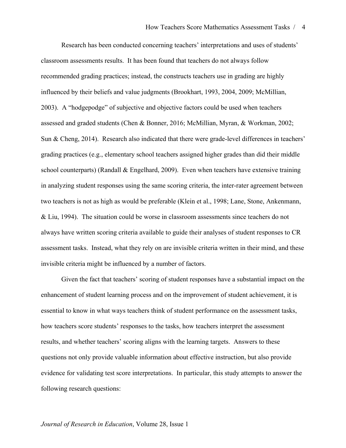Research has been conducted concerning teachers' interpretations and uses of students' classroom assessments results. It has been found that teachers do not always follow recommended grading practices; instead, the constructs teachers use in grading are highly influenced by their beliefs and value judgments (Brookhart, 1993, 2004, 2009; McMillian, 2003). A "hodgepodge" of subjective and objective factors could be used when teachers assessed and graded students (Chen & Bonner, 2016; McMillian, Myran, & Workman, 2002; Sun & Cheng, 2014). Research also indicated that there were grade-level differences in teachers' grading practices (e.g., elementary school teachers assigned higher grades than did their middle school counterparts) (Randall  $\&$  Engelhard, 2009). Even when teachers have extensive training in analyzing student responses using the same scoring criteria, the inter-rater agreement between two teachers is not as high as would be preferable (Klein et al., 1998; Lane, Stone, Ankenmann, & Liu, 1994). The situation could be worse in classroom assessments since teachers do not always have written scoring criteria available to guide their analyses of student responses to CR assessment tasks. Instead, what they rely on are invisible criteria written in their mind, and these invisible criteria might be influenced by a number of factors.

Given the fact that teachers' scoring of student responses have a substantial impact on the enhancement of student learning process and on the improvement of student achievement, it is essential to know in what ways teachers think of student performance on the assessment tasks, how teachers score students' responses to the tasks, how teachers interpret the assessment results, and whether teachers' scoring aligns with the learning targets. Answers to these questions not only provide valuable information about effective instruction, but also provide evidence for validating test score interpretations. In particular, this study attempts to answer the following research questions: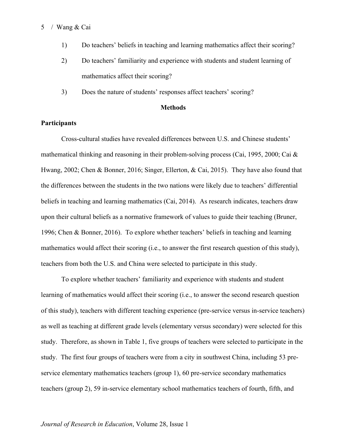- 1) Do teachers' beliefs in teaching and learning mathematics affect their scoring?
- 2) Do teachers' familiarity and experience with students and student learning of mathematics affect their scoring?
- 3) Does the nature of students' responses affect teachers' scoring?

#### **Methods**

## **Participants**

Cross-cultural studies have revealed differences between U.S. and Chinese students' mathematical thinking and reasoning in their problem-solving process (Cai, 1995, 2000; Cai  $\&$ Hwang, 2002; Chen & Bonner, 2016; Singer, Ellerton, & Cai, 2015). They have also found that the differences between the students in the two nations were likely due to teachers' differential beliefs in teaching and learning mathematics (Cai, 2014). As research indicates, teachers draw upon their cultural beliefs as a normative framework of values to guide their teaching (Bruner, 1996; Chen & Bonner, 2016). To explore whether teachers' beliefs in teaching and learning mathematics would affect their scoring (i.e., to answer the first research question of this study), teachers from both the U.S. and China were selected to participate in this study.

To explore whether teachers' familiarity and experience with students and student learning of mathematics would affect their scoring (i.e., to answer the second research question of this study), teachers with different teaching experience (pre-service versus in-service teachers) as well as teaching at different grade levels (elementary versus secondary) were selected for this study. Therefore, as shown in Table 1, five groups of teachers were selected to participate in the study. The first four groups of teachers were from a city in southwest China, including 53 preservice elementary mathematics teachers (group 1), 60 pre-service secondary mathematics teachers (group 2), 59 in-service elementary school mathematics teachers of fourth, fifth, and

## *Journal of Research in Education*, Volume 28, Issue 1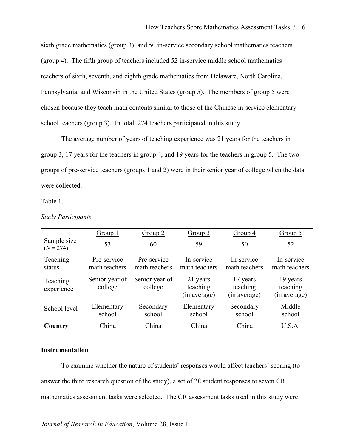sixth grade mathematics (group 3), and 50 in-service secondary school mathematics teachers (group 4). The fifth group of teachers included 52 in-service middle school mathematics teachers of sixth, seventh, and eighth grade mathematics from Delaware, North Carolina, Pennsylvania, and Wisconsin in the United States (group 5). The members of group 5 were chosen because they teach math contents similar to those of the Chinese in-service elementary school teachers (group 3). In total, 274 teachers participated in this study.

The average number of years of teaching experience was 21 years for the teachers in group 3, 17 years for the teachers in group 4, and 19 years for the teachers in group 5. The two groups of pre-service teachers (groups 1 and 2) were in their senior year of college when the data were collected.

Table 1.

|                            | Group 1                      | Group 2                      | Group 3                              | Group 4                              | Group 5                              |
|----------------------------|------------------------------|------------------------------|--------------------------------------|--------------------------------------|--------------------------------------|
| Sample size<br>$(N = 274)$ | 53                           | 60                           | 59                                   | 50                                   | 52                                   |
| Teaching<br>status         | Pre-service<br>math teachers | Pre-service<br>math teachers | In-service<br>math teachers          | In-service<br>math teachers          | In-service<br>math teachers          |
| Teaching<br>experience     | Senior year of<br>college    | Senior year of<br>college    | 21 years<br>teaching<br>(in average) | 17 years<br>teaching<br>(in average) | 19 years<br>teaching<br>(in average) |
| School level               | Elementary<br>school         | Secondary<br>school          | Elementary<br>school                 | Secondary<br>school                  | Middle<br>school                     |
| Country                    | China                        | China                        | China                                | China                                | U.S.A.                               |

*Study Participants*

## **Instrumentation**

To examine whether the nature of students' responses would affect teachers' scoring (to answer the third research question of the study), a set of 28 student responses to seven CR mathematics assessment tasks were selected. The CR assessment tasks used in this study were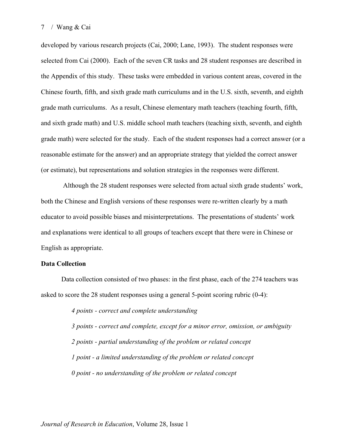developed by various research projects (Cai, 2000; Lane, 1993). The student responses were selected from Cai (2000). Each of the seven CR tasks and 28 student responses are described in the Appendix of this study. These tasks were embedded in various content areas, covered in the Chinese fourth, fifth, and sixth grade math curriculums and in the U.S. sixth, seventh, and eighth grade math curriculums. As a result, Chinese elementary math teachers (teaching fourth, fifth, and sixth grade math) and U.S. middle school math teachers (teaching sixth, seventh, and eighth grade math) were selected for the study. Each of the student responses had a correct answer (or a reasonable estimate for the answer) and an appropriate strategy that yielded the correct answer (or estimate), but representations and solution strategies in the responses were different.

Although the 28 student responses were selected from actual sixth grade students' work, both the Chinese and English versions of these responses were re-written clearly by a math educator to avoid possible biases and misinterpretations. The presentations of students' work and explanations were identical to all groups of teachers except that there were in Chinese or English as appropriate.

#### **Data Collection**

Data collection consisted of two phases: in the first phase, each of the 274 teachers was asked to score the 28 student responses using a general 5-point scoring rubric (0-4):

> *4 points - correct and complete understanding 3 points - correct and complete, except for a minor error, omission, or ambiguity 2 points - partial understanding of the problem or related concept 1 point - a limited understanding of the problem or related concept 0 point - no understanding of the problem or related concept*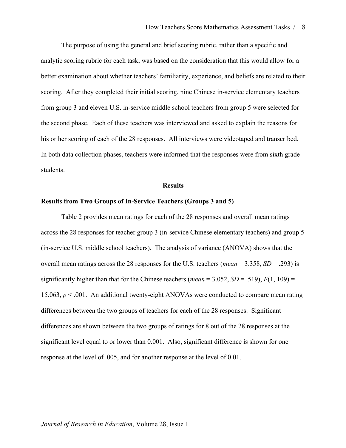The purpose of using the general and brief scoring rubric, rather than a specific and analytic scoring rubric for each task, was based on the consideration that this would allow for a better examination about whether teachers' familiarity, experience, and beliefs are related to their scoring. After they completed their initial scoring, nine Chinese in-service elementary teachers from group 3 and eleven U.S. in-service middle school teachers from group 5 were selected for the second phase. Each of these teachers was interviewed and asked to explain the reasons for his or her scoring of each of the 28 responses. All interviews were videotaped and transcribed. In both data collection phases, teachers were informed that the responses were from sixth grade students.

#### **Results**

#### **Results from Two Groups of In-Service Teachers (Groups 3 and 5)**

Table 2 provides mean ratings for each of the 28 responses and overall mean ratings across the 28 responses for teacher group 3 (in-service Chinese elementary teachers) and group 5 (in-service U.S. middle school teachers). The analysis of variance (ANOVA) shows that the overall mean ratings across the 28 responses for the U.S. teachers (*mean* = 3.358, *SD* = .293) is significantly higher than that for the Chinese teachers (*mean* = 3.052, *SD* = .519),  $F(1, 109)$  = 15.063, *p* < .001. An additional twenty-eight ANOVAs were conducted to compare mean rating differences between the two groups of teachers for each of the 28 responses. Significant differences are shown between the two groups of ratings for 8 out of the 28 responses at the significant level equal to or lower than 0.001. Also, significant difference is shown for one response at the level of .005, and for another response at the level of 0.01.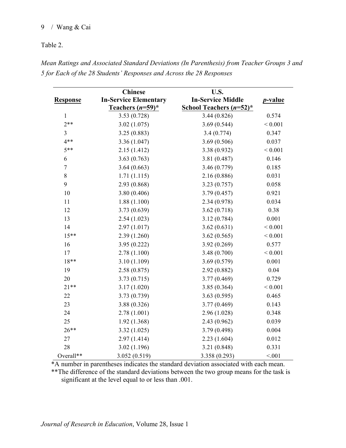# Table 2.

|                  | <b>Chinese</b>                                      | U.S.                                                   |                 |  |
|------------------|-----------------------------------------------------|--------------------------------------------------------|-----------------|--|
| <b>Response</b>  | <b>In-Service Elementary</b><br>Teachers $(n=59)^*$ | <b>In-Service Middle</b><br>School Teachers $(n=52)^*$ | <i>p</i> -value |  |
| $\mathbf{1}$     | 3.53(0.728)                                         | 3.44(0.826)                                            | 0.574           |  |
| $2**$            | 3.02(1.075)                                         | 3.69(0.544)                                            | ${}< 0.001$     |  |
| $\overline{3}$   | 3.25(0.883)                                         | 3.4(0.774)                                             | 0.347           |  |
| $4***$           | 3.36 (1.047)                                        | 3.69(0.506)                                            | 0.037           |  |
| $5**$            | 2.15(1.412)                                         | 3.38(0.932)                                            | ${}< 0.001$     |  |
| $\sqrt{6}$       | 3.63(0.763)                                         | 3.81 (0.487)                                           | 0.146           |  |
| $\boldsymbol{7}$ | 3.64(0.663)                                         | 3.46 (0.779)                                           | 0.185           |  |
| 8                | 1.71(1.115)                                         | 2.16 (0.886)                                           | 0.031           |  |
| 9                | 2.93 (0.868)                                        | 3.23(0.757)                                            | 0.058           |  |
| 10               | 3.80(0.406)                                         | 3.79(0.457)                                            | 0.921           |  |
| 11               | 1.88(1.100)                                         | 2.34(0.978)                                            | 0.034           |  |
| 12               | 3.73 (0.639)                                        | 3.62(0.718)                                            | 0.38            |  |
| 13               | 2.54(1.023)                                         | 3.12(0.784)                                            | 0.001           |  |
| 14               | 2.97(1.017)                                         | 3.62(0.631)                                            | ${}< 0.001$     |  |
| $15***$          | 2.39(1.260)                                         | 3.62(0.565)                                            | ${}< 0.001$     |  |
| 16               | 3.95(0.222)                                         | 3.92(0.269)                                            | 0.577           |  |
| 17               | 2.78(1.100)                                         | 3.48(0.700)                                            | ${}< 0.001$     |  |
| $18**$           | 3.10(1.109)                                         | 3.69(0.579)                                            | 0.001           |  |
| 19               | 2.58(0.875)                                         | 2.92(0.882)                                            | 0.04            |  |
| 20               | 3.73(0.715)                                         | 3.77(0.469)                                            | 0.729           |  |
| $21**$           | 3.17(1.020)                                         | 3.85(0.364)                                            | ${}< 0.001$     |  |
| 22               | 3.73 (0.739)                                        | 3.63(0.595)                                            | 0.465           |  |
| 23               | 3.88 (0.326)                                        | 3.77(0.469)                                            | 0.143           |  |
| 24               | 2.78(1.001)                                         | 2.96 (1.028)                                           | 0.348           |  |
| 25               | 1.92(1.368)                                         | 2.43(0.962)                                            | 0.039           |  |
| $26**$           | 3.32(1.025)                                         | 3.79 (0.498)                                           | 0.004           |  |
| 27               | 2.97(1.414)                                         | 2.23(1.604)                                            | 0.012           |  |
| 28               | 3.02(1.196)                                         | 3.21(0.848)                                            | 0.331           |  |
| Overall**        | 3.052(0.519)                                        | 3.358 (0.293)                                          | < 0.01          |  |

*Mean Ratings and Associated Standard Deviations (In Parenthesis) from Teacher Groups 3 and 5 for Each of the 28 Students' Responses and Across the 28 Responses*

\*A number in parentheses indicates the standard deviation associated with each mean. \*\*The difference of the standard deviations between the two group means for the task is

significant at the level equal to or less than .001.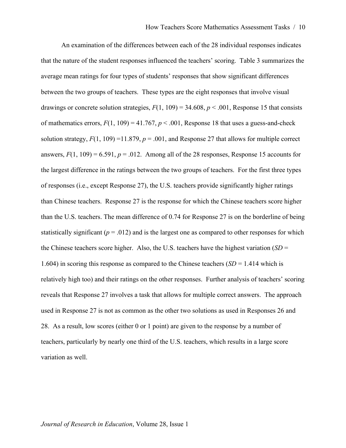An examination of the differences between each of the 28 individual responses indicates that the nature of the student responses influenced the teachers' scoring. Table 3 summarizes the average mean ratings for four types of students' responses that show significant differences between the two groups of teachers. These types are the eight responses that involve visual drawings or concrete solution strategies,  $F(1, 109) = 34.608$ ,  $p < .001$ , Response 15 that consists of mathematics errors,  $F(1, 109) = 41.767$ ,  $p < .001$ , Response 18 that uses a guess-and-check solution strategy,  $F(1, 109) = 11.879$ ,  $p = .001$ , and Response 27 that allows for multiple correct answers,  $F(1, 109) = 6.591$ ,  $p = .012$ . Among all of the 28 responses, Response 15 accounts for the largest difference in the ratings between the two groups of teachers. For the first three types of responses (i.e., except Response 27), the U.S. teachers provide significantly higher ratings than Chinese teachers. Response 27 is the response for which the Chinese teachers score higher than the U.S. teachers. The mean difference of 0.74 for Response 27 is on the borderline of being statistically significant ( $p = .012$ ) and is the largest one as compared to other responses for which the Chinese teachers score higher. Also, the U.S. teachers have the highest variation (*SD* = 1.604) in scoring this response as compared to the Chinese teachers (*SD* = 1.414 which is relatively high too) and their ratings on the other responses. Further analysis of teachers' scoring reveals that Response 27 involves a task that allows for multiple correct answers. The approach used in Response 27 is not as common as the other two solutions as used in Responses 26 and 28. As a result, low scores (either 0 or 1 point) are given to the response by a number of teachers, particularly by nearly one third of the U.S. teachers, which results in a large score variation as well.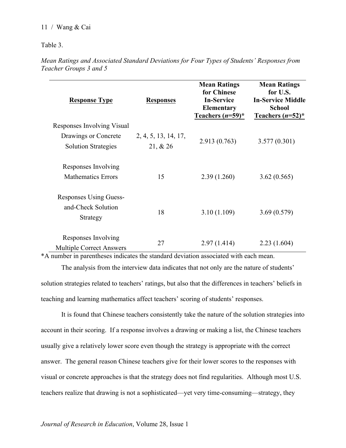Table 3.

*Mean Ratings and Associated Standard Deviations for Four Types of Students' Responses from Teacher Groups 3 and 5* 

| <b>Response Type</b>                                            | <b>Responses</b>                 | <b>Mean Ratings</b><br>for Chinese<br><b>In-Service</b><br><b>Elementary</b><br>Teachers $(n=59)^*$ | <b>Mean Ratings</b><br>for U.S.<br><b>In-Service Middle</b><br><b>School</b><br>Teachers $(n=52)^*$ |
|-----------------------------------------------------------------|----------------------------------|-----------------------------------------------------------------------------------------------------|-----------------------------------------------------------------------------------------------------|
| Responses Involving Visual                                      |                                  |                                                                                                     |                                                                                                     |
| Drawings or Concrete<br><b>Solution Strategies</b>              | 2, 4, 5, 13, 14, 17,<br>21, & 26 | 2.913(0.763)                                                                                        | 3.577(0.301)                                                                                        |
| Responses Involving<br><b>Mathematics Errors</b>                | 15                               | 2.39(1.260)                                                                                         | 3.62(0.565)                                                                                         |
| <b>Responses Using Guess-</b><br>and-Check Solution<br>Strategy | 18                               | 3.10(1.109)                                                                                         | 3.69(0.579)                                                                                         |
| Responses Involving<br><b>Multiple Correct Answers</b>          | 27                               | 2.97(1.414)                                                                                         | 2.23(1.604)                                                                                         |

\*A number in parentheses indicates the standard deviation associated with each mean.

The analysis from the interview data indicates that not only are the nature of students' solution strategies related to teachers' ratings, but also that the differences in teachers' beliefs in teaching and learning mathematics affect teachers' scoring of students' responses.

It is found that Chinese teachers consistently take the nature of the solution strategies into account in their scoring. If a response involves a drawing or making a list, the Chinese teachers usually give a relatively lower score even though the strategy is appropriate with the correct answer. The general reason Chinese teachers give for their lower scores to the responses with visual or concrete approaches is that the strategy does not find regularities. Although most U.S. teachers realize that drawing is not a sophisticated—yet very time-consuming—strategy, they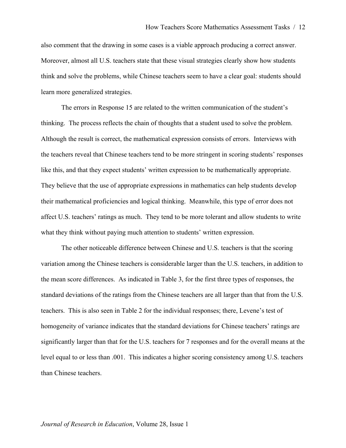also comment that the drawing in some cases is a viable approach producing a correct answer. Moreover, almost all U.S. teachers state that these visual strategies clearly show how students think and solve the problems, while Chinese teachers seem to have a clear goal: students should learn more generalized strategies.

The errors in Response 15 are related to the written communication of the student's thinking. The process reflects the chain of thoughts that a student used to solve the problem. Although the result is correct, the mathematical expression consists of errors. Interviews with the teachers reveal that Chinese teachers tend to be more stringent in scoring students' responses like this, and that they expect students' written expression to be mathematically appropriate. They believe that the use of appropriate expressions in mathematics can help students develop their mathematical proficiencies and logical thinking. Meanwhile, this type of error does not affect U.S. teachers' ratings as much. They tend to be more tolerant and allow students to write what they think without paying much attention to students' written expression.

The other noticeable difference between Chinese and U.S. teachers is that the scoring variation among the Chinese teachers is considerable larger than the U.S. teachers, in addition to the mean score differences. As indicated in Table 3, for the first three types of responses, the standard deviations of the ratings from the Chinese teachers are all larger than that from the U.S. teachers. This is also seen in Table 2 for the individual responses; there, Levene's test of homogeneity of variance indicates that the standard deviations for Chinese teachers' ratings are significantly larger than that for the U.S. teachers for 7 responses and for the overall means at the level equal to or less than .001. This indicates a higher scoring consistency among U.S. teachers than Chinese teachers.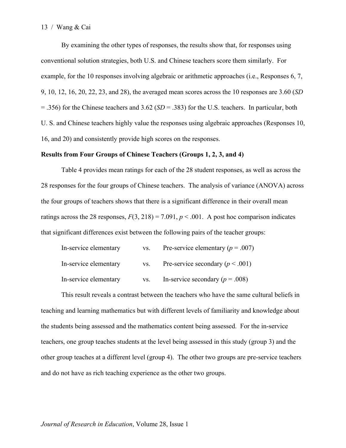By examining the other types of responses, the results show that, for responses using conventional solution strategies, both U.S. and Chinese teachers score them similarly. For example, for the 10 responses involving algebraic or arithmetic approaches (i.e., Responses 6, 7, 9, 10, 12, 16, 20, 22, 23, and 28), the averaged mean scores across the 10 responses are 3.60 (*SD* = .356) for the Chinese teachers and 3.62 (*SD* = .383) for the U.S. teachers. In particular, both U. S. and Chinese teachers highly value the responses using algebraic approaches (Responses 10, 16, and 20) and consistently provide high scores on the responses.

#### **Results from Four Groups of Chinese Teachers (Groups 1, 2, 3, and 4)**

Table 4 provides mean ratings for each of the 28 student responses, as well as across the 28 responses for the four groups of Chinese teachers. The analysis of variance (ANOVA) across the four groups of teachers shows that there is a significant difference in their overall mean ratings across the 28 responses,  $F(3, 218) = 7.091$ ,  $p < .001$ . A post hoc comparison indicates that significant differences exist between the following pairs of the teacher groups:

| In-service elementary | VS. | Pre-service elementary ( $p = .007$ ) |
|-----------------------|-----|---------------------------------------|
| In-service elementary | VS. | Pre-service secondary ( $p < .001$ )  |
| In-service elementary | VS. | In-service secondary ( $p = .008$ )   |

This result reveals a contrast between the teachers who have the same cultural beliefs in teaching and learning mathematics but with different levels of familiarity and knowledge about the students being assessed and the mathematics content being assessed. For the in-service teachers, one group teaches students at the level being assessed in this study (group 3) and the other group teaches at a different level (group 4). The other two groups are pre-service teachers and do not have as rich teaching experience as the other two groups.

#### *Journal of Research in Education*, Volume 28, Issue 1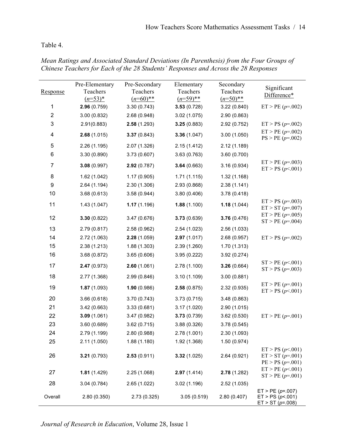# Table 4.

| Response                | Pre-Elementary<br>Teachers<br>$(n=53)^{*}$ | Pre-Secondary<br>Teachers<br>$(n=60)$ ** | Elementary<br>Teachers<br>$(n=59)$ ** | Secondary<br>Teachers<br>$(n=50)$ ** | Significant<br>Difference*                                    |
|-------------------------|--------------------------------------------|------------------------------------------|---------------------------------------|--------------------------------------|---------------------------------------------------------------|
| 1                       | 2.96(0.759)                                | 3.30(0.743)                              | 3.53(0.728)                           | 3.22(0.840)                          | $ET > PE(p=.002)$                                             |
| $\overline{\mathbf{c}}$ | 3.00 (0.832)                               | 2.68 (0.948)                             | 3.02(1.075)                           | 2.90 (0.863)                         |                                                               |
| 3                       | 2.91(0.883)                                | 2.58(1.293)                              | 3.25(0.883)                           | 2.92 (0.752)                         | $ET > PS (p=.002)$                                            |
| 4                       | 2.68(1.015)                                | 3.37(0.843)                              | 3.36(1.047)                           | 3.00(1.050)                          | $ET > PE(p=.002)$<br>$PS > PE(p=.002)$                        |
| 5                       | 2.26(1.195)                                | 2.07 (1.326)                             | 2.15(1.412)                           | 2.12(1.189)                          |                                                               |
| 6                       | 3.30 (0.890)                               | 3.73(0.607)                              | 3.63(0.763)                           | 3.60 (0.700)                         |                                                               |
| 7                       | 3.08(0.997)                                | 2.92(0.787)                              | 3.64(0.663)                           | 3.16(0.934)                          | $ET > PE(p=.003)$<br>ET > PS (p < .001)                       |
| 8                       | 1.62 (1.042)                               | 1.17(0.905)                              | 1.71(1.115)                           | 1.32(1.168)                          |                                                               |
| 9                       | 2.64 (1.194)                               | 2.30 (1.306)                             | 2.93 (0.868)                          | 2.38(1.141)                          |                                                               |
| 10                      | 3.68(0.613)                                | 3.58(0.944)                              | 3.80(0.406)                           | 3.78 (0.418)                         |                                                               |
| 11                      | 1.43(1.047)                                | 1.17(1.196)                              | 1.88(1.100)                           | 1.18(1.044)                          | $ET > PS (p=.003)$<br>$ET > ST(p=.007)$                       |
| 12                      | 3.30(0.822)                                | 3.47 (0.676)                             | 3.73(0.639)                           | 3.76(0.476)                          | $ET > PE(p=.005)$<br>$ST > PE(p=.004)$                        |
| 13                      | 2.79 (0.817)                               | 2.58 (0.962)                             | 2.54 (1.023)                          | 2.56 (1.033)                         |                                                               |
| 14                      | 2.72 (1.063)                               | 2.28(1.059)                              | 2.97(1.017)                           | 2.68 (0.957)                         | $ET > PS (p=.002)$                                            |
| 15                      | 2.38(1.213)                                | 1.88(1.303)                              | 2.39 (1.260)                          | 1.70 (1.313)                         |                                                               |
| 16                      | 3.68 (0.872)                               | 3.65(0.606)                              | 3.95 (0.222)                          | 3.92 (0.274)                         |                                                               |
| 17                      | 2.47(0.973)                                | 2.60(1.061)                              | 2.78 (1.100)                          | 3.26(0.664)                          | ST > PE(p<.001)<br>$ST > PS (p=.003)$                         |
| 18                      | 2.77 (1.368)                               | 2.99 (0.846)                             | 3.10(1.109)                           | 3.00(0.881)                          |                                                               |
| 19                      | 1.87(1.093)                                | 1.90(0.986)                              | 2.58(0.875)                           | 2.32 (0.935)                         | $ET > PE(p=.001)$<br>ET > PS (p < .001)                       |
| 20                      | 3.66(0.618)                                | 3.70 (0.743)                             | 3.73(0.715)                           | 3.48(0.863)                          |                                                               |
| 21                      | 3.42(0.663)                                | 3.33(0.681)                              | 3.17(1.020)                           | 2.90(1.015)                          |                                                               |
| 22                      | 3.09(1.061)                                | 3.47 (0.982)                             | 3.73(0.739)                           | 3.62(0.530)                          | $ET > PE(p=.001)$                                             |
| 23                      | 3.60 (0.689)                               | 3.62(0.715)                              | 3.88 (0.326)                          | 3.78 (0.545)                         |                                                               |
| 24                      | 2.79 (1.199)                               | 2.80 (0.988)                             | 2.78(1.001)                           | 2.30 (1.093)                         |                                                               |
| 25                      | 2.11(1.050)                                | 1.88(1.180)                              | 1.92 (1.368)                          | 1.50(0.974)                          |                                                               |
| 26                      | 3.21(0.793)                                | 2.53(0.911)                              | 3.32(1.025)                           | 2.64 (0.921)                         | ET > PS (p < .001)<br>$ET > ST(p=.001)$<br>$PE > PS (p=.001)$ |
| 27                      | 1.81(1.429)                                | 2.25 (1.068)                             | 2.97(1.414)                           | 2.78 (1.282)                         | ET > PE(p<.001)<br>$ST > PE(p=.001)$                          |
| 28                      | 3.04(0.784)                                | 2.65 (1.022)                             | 3.02 (1.196)                          | 2.52 (1.035)                         |                                                               |
| Overall                 | 2.80 (0.350)                               | 2.73 (0.325)                             | 3.05(0.519)                           | 2.80 (0.407)                         | $ET > PE(p=.007)$<br>ET > PS (p<.001)<br>$ET > ST(p=.008)$    |

*Mean Ratings and Associated Standard Deviations (In Parenthesis) from the Four Groups of Chinese Teachers for Each of the 28 Students' Responses and Across the 28 Responses*

*Journal of Research in Education*, Volume 28, Issue 1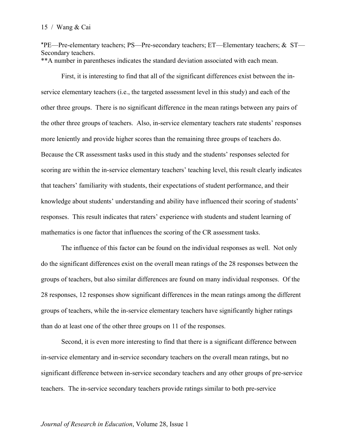\*PE—Pre-elementary teachers; PS—Pre-secondary teachers; ET—Elementary teachers; & ST— Secondary teachers. \*\*A number in parentheses indicates the standard deviation associated with each mean.

First, it is interesting to find that all of the significant differences exist between the inservice elementary teachers (i.e., the targeted assessment level in this study) and each of the other three groups. There is no significant difference in the mean ratings between any pairs of the other three groups of teachers. Also, in-service elementary teachers rate students' responses more leniently and provide higher scores than the remaining three groups of teachers do. Because the CR assessment tasks used in this study and the students' responses selected for scoring are within the in-service elementary teachers' teaching level, this result clearly indicates that teachers' familiarity with students, their expectations of student performance, and their knowledge about students' understanding and ability have influenced their scoring of students' responses. This result indicates that raters' experience with students and student learning of mathematics is one factor that influences the scoring of the CR assessment tasks.

The influence of this factor can be found on the individual responses as well. Not only do the significant differences exist on the overall mean ratings of the 28 responses between the groups of teachers, but also similar differences are found on many individual responses. Of the 28 responses, 12 responses show significant differences in the mean ratings among the different groups of teachers, while the in-service elementary teachers have significantly higher ratings than do at least one of the other three groups on 11 of the responses.

Second, it is even more interesting to find that there is a significant difference between in-service elementary and in-service secondary teachers on the overall mean ratings, but no significant difference between in-service secondary teachers and any other groups of pre-service teachers. The in-service secondary teachers provide ratings similar to both pre-service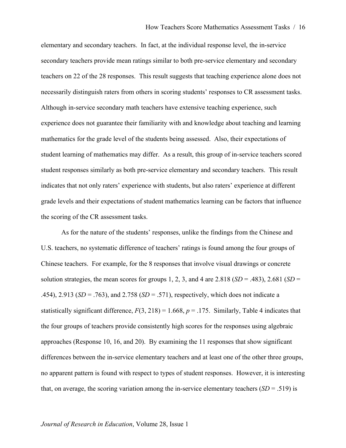elementary and secondary teachers. In fact, at the individual response level, the in-service secondary teachers provide mean ratings similar to both pre-service elementary and secondary teachers on 22 of the 28 responses. This result suggests that teaching experience alone does not necessarily distinguish raters from others in scoring students' responses to CR assessment tasks. Although in-service secondary math teachers have extensive teaching experience, such experience does not guarantee their familiarity with and knowledge about teaching and learning mathematics for the grade level of the students being assessed. Also, their expectations of student learning of mathematics may differ. As a result, this group of in-service teachers scored student responses similarly as both pre-service elementary and secondary teachers. This result indicates that not only raters' experience with students, but also raters' experience at different grade levels and their expectations of student mathematics learning can be factors that influence the scoring of the CR assessment tasks.

As for the nature of the students' responses, unlike the findings from the Chinese and U.S. teachers, no systematic difference of teachers' ratings is found among the four groups of Chinese teachers. For example, for the 8 responses that involve visual drawings or concrete solution strategies, the mean scores for groups 1, 2, 3, and 4 are  $2.818$  (*SD* = .483),  $2.681$  (*SD* = .454), 2.913 (*SD* = .763), and 2.758 (*SD* = .571), respectively, which does not indicate a statistically significant difference,  $F(3, 218) = 1.668$ ,  $p = .175$ . Similarly, Table 4 indicates that the four groups of teachers provide consistently high scores for the responses using algebraic approaches (Response 10, 16, and 20). By examining the 11 responses that show significant differences between the in-service elementary teachers and at least one of the other three groups, no apparent pattern is found with respect to types of student responses. However, it is interesting that, on average, the scoring variation among the in-service elementary teachers  $(SD = .519)$  is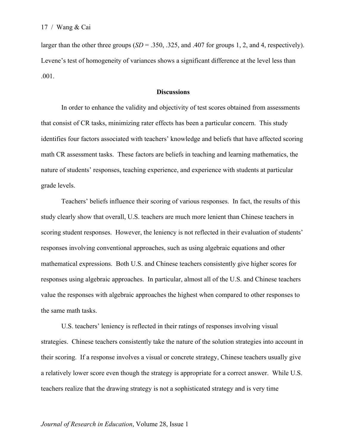larger than the other three groups  $(SD = .350, .325, \text{ and } .407 \text{ for groups } 1, 2, \text{ and } 4, \text{ respectively}).$ Levene's test of homogeneity of variances shows a significant difference at the level less than .001.

## **Discussions**

In order to enhance the validity and objectivity of test scores obtained from assessments that consist of CR tasks, minimizing rater effects has been a particular concern. This study identifies four factors associated with teachers' knowledge and beliefs that have affected scoring math CR assessment tasks. These factors are beliefs in teaching and learning mathematics, the nature of students' responses, teaching experience, and experience with students at particular grade levels.

Teachers' beliefs influence their scoring of various responses. In fact, the results of this study clearly show that overall, U.S. teachers are much more lenient than Chinese teachers in scoring student responses. However, the leniency is not reflected in their evaluation of students' responses involving conventional approaches, such as using algebraic equations and other mathematical expressions. Both U.S. and Chinese teachers consistently give higher scores for responses using algebraic approaches. In particular, almost all of the U.S. and Chinese teachers value the responses with algebraic approaches the highest when compared to other responses to the same math tasks.

U.S. teachers' leniency is reflected in their ratings of responses involving visual strategies. Chinese teachers consistently take the nature of the solution strategies into account in their scoring. If a response involves a visual or concrete strategy, Chinese teachers usually give a relatively lower score even though the strategy is appropriate for a correct answer. While U.S. teachers realize that the drawing strategy is not a sophisticated strategy and is very time

#### *Journal of Research in Education*, Volume 28, Issue 1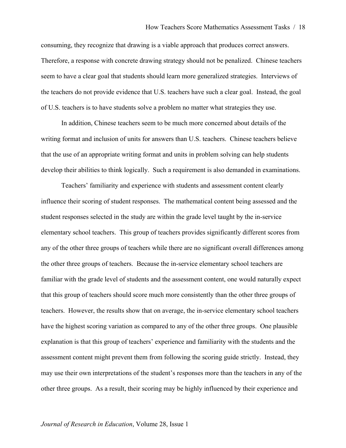consuming, they recognize that drawing is a viable approach that produces correct answers. Therefore, a response with concrete drawing strategy should not be penalized. Chinese teachers seem to have a clear goal that students should learn more generalized strategies. Interviews of the teachers do not provide evidence that U.S. teachers have such a clear goal. Instead, the goal of U.S. teachers is to have students solve a problem no matter what strategies they use.

In addition, Chinese teachers seem to be much more concerned about details of the writing format and inclusion of units for answers than U.S. teachers. Chinese teachers believe that the use of an appropriate writing format and units in problem solving can help students develop their abilities to think logically. Such a requirement is also demanded in examinations.

Teachers' familiarity and experience with students and assessment content clearly influence their scoring of student responses. The mathematical content being assessed and the student responses selected in the study are within the grade level taught by the in-service elementary school teachers. This group of teachers provides significantly different scores from any of the other three groups of teachers while there are no significant overall differences among the other three groups of teachers. Because the in-service elementary school teachers are familiar with the grade level of students and the assessment content, one would naturally expect that this group of teachers should score much more consistently than the other three groups of teachers. However, the results show that on average, the in-service elementary school teachers have the highest scoring variation as compared to any of the other three groups. One plausible explanation is that this group of teachers' experience and familiarity with the students and the assessment content might prevent them from following the scoring guide strictly. Instead, they may use their own interpretations of the student's responses more than the teachers in any of the other three groups. As a result, their scoring may be highly influenced by their experience and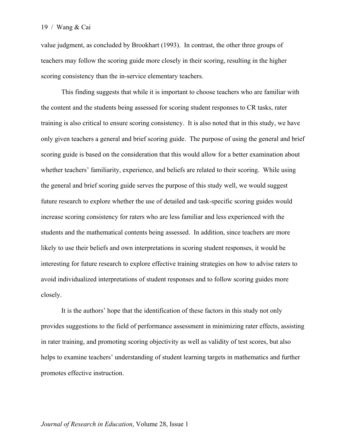value judgment, as concluded by Brookhart (1993). In contrast, the other three groups of teachers may follow the scoring guide more closely in their scoring, resulting in the higher scoring consistency than the in-service elementary teachers.

This finding suggests that while it is important to choose teachers who are familiar with the content and the students being assessed for scoring student responses to CR tasks, rater training is also critical to ensure scoring consistency. It is also noted that in this study, we have only given teachers a general and brief scoring guide. The purpose of using the general and brief scoring guide is based on the consideration that this would allow for a better examination about whether teachers' familiarity, experience, and beliefs are related to their scoring. While using the general and brief scoring guide serves the purpose of this study well, we would suggest future research to explore whether the use of detailed and task-specific scoring guides would increase scoring consistency for raters who are less familiar and less experienced with the students and the mathematical contents being assessed. In addition, since teachers are more likely to use their beliefs and own interpretations in scoring student responses, it would be interesting for future research to explore effective training strategies on how to advise raters to avoid individualized interpretations of student responses and to follow scoring guides more closely.

It is the authors' hope that the identification of these factors in this study not only provides suggestions to the field of performance assessment in minimizing rater effects, assisting in rater training, and promoting scoring objectivity as well as validity of test scores, but also helps to examine teachers' understanding of student learning targets in mathematics and further promotes effective instruction.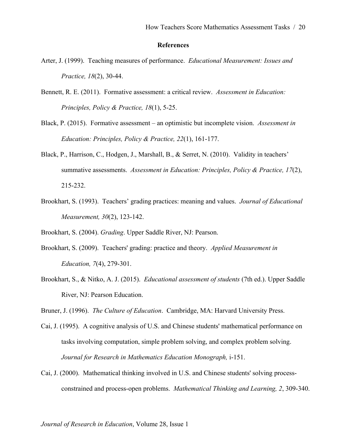#### **References**

- Arter, J. (1999). Teaching measures of performance. *Educational Measurement: Issues and Practice, 18*(2), 30-44.
- Bennett, R. E. (2011). Formative assessment: a critical review. *Assessment in Education: Principles, Policy & Practice, 18*(1), 5-25.
- Black, P. (2015). Formative assessment an optimistic but incomplete vision. *Assessment in Education: Principles, Policy & Practice, 22*(1), 161-177.
- Black, P., Harrison, C., Hodgen, J., Marshall, B., & Serret, N. (2010). Validity in teachers' summative assessments. *Assessment in Education: Principles, Policy & Practice, 17*(2), 215-232.
- Brookhart, S. (1993). Teachers' grading practices: meaning and values. *Journal of Educational Measurement, 30*(2), 123-142.

Brookhart, S. (2004). *Grading*. Upper Saddle River, NJ: Pearson.

- Brookhart, S. (2009). Teachers' grading: practice and theory. *Applied Measurement in Education, 7*(4), 279-301.
- Brookhart, S., & Nitko, A. J. (2015). *Educational assessment of students* (7th ed.). Upper Saddle River, NJ: Pearson Education.

Bruner, J. (1996). *The Culture of Education*. Cambridge, MA: Harvard University Press.

- Cai, J. (1995). A cognitive analysis of U.S. and Chinese students' mathematical performance on tasks involving computation, simple problem solving, and complex problem solving. *Journal for Research in Mathematics Education Monograph,* i-151.
- Cai, J. (2000). Mathematical thinking involved in U.S. and Chinese students' solving processconstrained and process-open problems. *Mathematical Thinking and Learning, 2*, 309-340.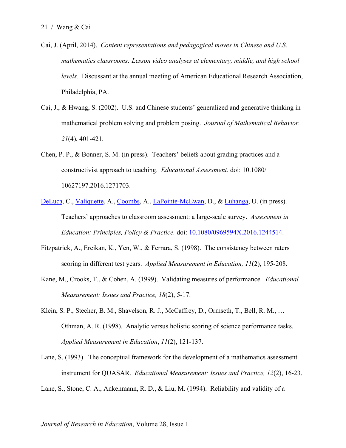- Cai, J. (April, 2014). *Content representations and pedagogical moves in Chinese and U.S. mathematics classrooms: Lesson video analyses at elementary, middle, and high school levels.* Discussant at the annual meeting of American Educational Research Association, Philadelphia, PA.
- Cai, J., & Hwang, S. (2002). U.S. and Chinese students' generalized and generative thinking in mathematical problem solving and problem posing. *Journal of Mathematical Behavior. 21*(4), 401-421.
- Chen, P. P., & Bonner, S. M. (in press). Teachers' beliefs about grading practices and a constructivist approach to teaching. *Educational Assessment.* doi: 10.1080/ 10627197.2016.1271703.
- DeLuca, C., Valiquette, A., Coombs, A., LaPointe-McEwan, D., & Luhanga, U. (in press). Teachers' approaches to classroom assessment: a large-scale survey. *Assessment in Education: Principles, Policy & Practice.* doi: 10.1080/0969594X.2016.1244514.
- Fitzpatrick, A., Ercikan, K., Yen, W., & Ferrara, S. (1998). The consistency between raters scoring in different test years. *Applied Measurement in Education, 11*(2), 195-208.
- Kane, M., Crooks, T., & Cohen, A. (1999). Validating measures of performance. *Educational Measurement: Issues and Practice, 18*(2), 5-17.
- Klein, S. P., Stecher, B. M., Shavelson, R. J., McCaffrey, D., Ormseth, T., Bell, R. M., … Othman, A. R. (1998). Analytic versus holistic scoring of science performance tasks. *Applied Measurement in Education*, *11*(2), 121-137.
- Lane, S. (1993). The conceptual framework for the development of a mathematics assessment instrument for QUASAR. *Educational Measurement: Issues and Practice, 12*(2), 16-23.

Lane, S., Stone, C. A., Ankenmann, R. D., & Liu, M. (1994). Reliability and validity of a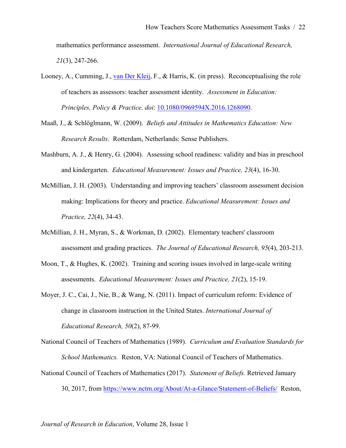mathematics performance assessment. *International Journal of Educational Research, 21*(3), 247-266.

- Looney, A., Cumming, J., van Der Kleij, F., & Harris, K. (in press). Reconceptualising the role of teachers as assessors: teacher assessment identity. *Assessment in Education: Principles, Policy & Practice. doi*: 10.1080/0969594X.2016.1268090.
- Maaß, J., & Schlöglmann, W. (2009). *Beliefs and Attitudes in Mathematics Education: New Research Results*. Rotterdam, Netherlands: Sense Publishers.
- Mashburn, A. J., & Henry, G. (2004). Assessing school readiness: validity and bias in preschool and kindergarten. *Educational Measurement: Issues and Practice, 23*(4), 16-30.
- McMillian, J. H. (2003). Understanding and improving teachers' classroom assessment decision making: Implications for theory and practice. *Educational Measurement: Issues and Practice, 22*(4), 34-43.
- McMillian, J. H., Myran, S., & Workman, D. (2002). Elementary teachers' classroom assessment and grading practices. *The Journal of Educational Research, 95*(4), 203-213.
- Moon, T., & Hughes, K. (2002). Training and scoring issues involved in large-scale writing assessments. *Educational Measurement: Issues and Practice, 21*(2), 15-19.
- Moyer, J. C., Cai, J., Nie, B., & Wang, N. (2011). Impact of curriculum reform: Evidence of change in classroom instruction in the United States. *International Journal of Educational Research, 50*(2), 87-99.

National Council of Teachers of Mathematics (1989). *Curriculum and Evaluation Standards for School Mathematics.* Reston, VA: National Council of Teachers of Mathematics.

National Council of Teachers of Mathematics (2017). *Statement of Beliefs.* Retrieved January 30, 2017, from https://www.nctm.org/About/At-a-Glance/Statement-of-Beliefs/ Reston,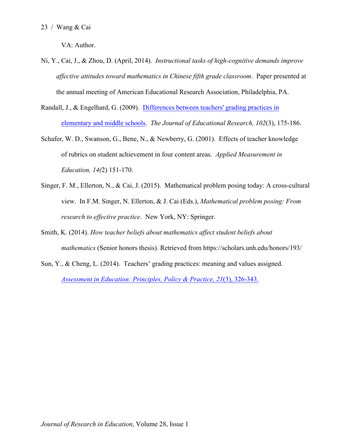VA: Author.

- Ni, Y., Cai, J., & Zhou, D. (April, 2014). *Instructional tasks of high-cognitive demands improve affective attitudes toward mathematics in Chinese fifth grade classroom*. Paper presented at the annual meeting of American Educational Research Association, Philadelphia, PA.
- Randall, J., & Engelhard, G. (2009). Differences between teachers' grading practices in elementary and middle schools. *The Journal of Educational Research, 102*(3), 175-186.
- Schafer, W. D., Swanson, G., Bene, N., & Newberry, G. (2001). Effects of teacher knowledge of rubrics on student achievement in four content areas. *Applied Measurement in Education, 14(*2) 151-170.
- Singer, F. M., Ellerton, N., & Cai, J. (2015). Mathematical problem posing today: A cross-cultural view. In F.M. Singer, N. Ellerton, & J. Cai (Eds.), *Mathematical problem posing: From research to effective practice*. New York, NY: Springer.
- Smith, K. (2014). *How teacher beliefs about mathematics affect student beliefs about mathematics* (Senior honors thesis). Retrieved from https://scholars.unh.edu/honors/193/
- Sun, Y., & Cheng, L. (2014). Teachers' grading practices: meaning and values assigned. *Assessment in Education: Principles, Policy & Practice, 21*(3), 326-343.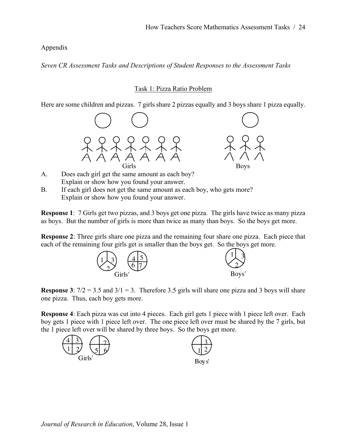Appendix

*Seven CR Assessment Tasks and Descriptions of Student Responses to the Assessment Tasks*

## Task 1: Pizza Ratio Problem

Here are some children and pizzas. 7 girls share 2 pizzas equally and 3 boys share 1 pizza equally.





- A. Does each girl get the same amount as each boy? Explain or show how you found your answer.
- B. If each girl does not get the same amount as each boy, who gets more? Explain or show how you found your answer.

**Response 1**: 7 Girls get two pizzas, and 3 boys get one pizza. The girls have twice as many pizza as boys. But the number of girls is more than twice as many than boys. So the boys get more.

**Response 2**: Three girls share one pizza and the remaining four share one pizza. Each piece that each of the remaining four girls get is smaller than the boys get. So the boys get more.



**Response 3**:  $7/2 = 3.5$  and  $3/1 = 3$ . Therefore 3.5 girls will share one pizza and 3 boys will share one pizza. Thus, each boy gets more.

**Response 4**: Each pizza was cut into 4 pieces. Each girl gets 1 piece with 1 piece left over. Each boy gets 1 piece with 1 piece left over. The one piece left over must be shared by the 7 girls, but the 1 piece left over will be shared by three boys. So the boys get more.

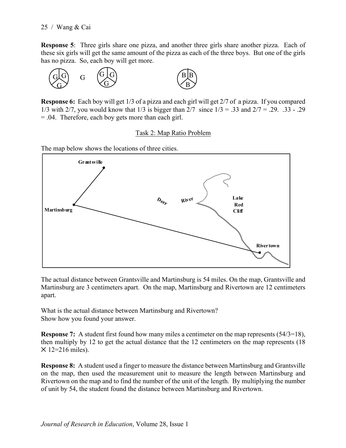**Response 5**: Three girls share one pizza, and another three girls share another pizza. Each of these six girls will get the same amount of the pizza as each of the three boys. But one of the girls has no pizza. So, each boy will get more.



**Response 6:** Each boy will get 1/3 of a pizza and each girl will get 2/7 of a pizza. If you compared 1/3 with 2/7, you would know that 1/3 is bigger than  $2/7$  since  $1/3 = .33$  and  $2/7 = .29$ .  $.33 - .29$ = .04. Therefore, each boy gets more than each girl.

## Task 2: Map Ratio Problem

The map below shows the locations of three cities.



The actual distance between Grantsville and Martinsburg is 54 miles. On the map, Grantsville and Martinsburg are 3 centimeters apart. On the map, Martinsburg and Rivertown are 12 centimeters apart.

What is the actual distance between Martinsburg and Rivertown? Show how you found your answer.

**Response 7:** A student first found how many miles a centimeter on the map represents (54/3=18), then multiply by 12 to get the actual distance that the 12 centimeters on the map represents (18  $\times$  12=216 miles).

**Response 8:** A student used a finger to measure the distance between Martinsburg and Grantsville on the map, then used the measurement unit to measure the length between Martinsburg and Rivertown on the map and to find the number of the unit of the length. By multiplying the number of unit by 54, the student found the distance between Martinsburg and Rivertown.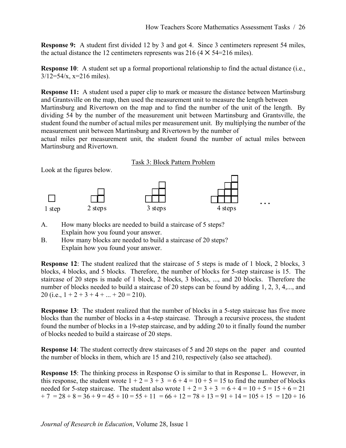**Response 9:** A student first divided 12 by 3 and got 4. Since 3 centimeters represent 54 miles, the actual distance the 12 centimeters represents was 216  $(4 \times 54=216 \text{ miles})$ .

**Response 10**: A student set up a formal proportional relationship to find the actual distance (i.e.,  $3/12=54/x$ , x=216 miles).

**Response 11:** A student used a paper clip to mark or measure the distance between Martinsburg and Grantsville on the map, then used the measurement unit to measure the length between

Martinsburg and Rivertown on the map and to find the number of the unit of the length. By dividing 54 by the number of the measurement unit between Martinsburg and Grantsville, the student found the number of actual miles per measurement unit. By multiplying the number of the measurement unit between Martinsburg and Rivertown by the number of

actual miles per measurement unit, the student found the number of actual miles between Martinsburg and Rivertown.

Task 3: Block Pattern Problem

Look at the figures below.



- A. How many blocks are needed to build a staircase of 5 steps? Explain how you found your answer.
- B. How many blocks are needed to build a staircase of 20 steps? Explain how you found your answer.

**Response 12**: The student realized that the staircase of 5 steps is made of 1 block, 2 blocks, 3 blocks, 4 blocks, and 5 blocks. Therefore, the number of blocks for 5-step staircase is 15. The staircase of 20 steps is made of 1 block, 2 blocks, 3 blocks, ..., and 20 blocks. Therefore the number of blocks needed to build a staircase of 20 steps can be found by adding 1, 2, 3, 4,..., and 20 (i.e.,  $1 + 2 + 3 + 4 + ... + 20 = 210$ ).

**Response 13:** The student realized that the number of blocks in a 5-step staircase has five more blocks than the number of blocks in a 4-step staircase. Through a recursive process, the student found the number of blocks in a 19-step staircase, and by adding 20 to it finally found the number of blocks needed to build a staircase of 20 steps.

**Response 14**: The student correctly drew staircases of 5 and 20 steps on the paper and counted the number of blocks in them, which are 15 and 210, respectively (also see attached).

**Response 15**: The thinking process in Response O is similar to that in Response L. However, in this response, the student wrote  $1 + 2 = 3 + 3 = 6 + 4 = 10 + 5 = 15$  to find the number of blocks needed for 5-step staircase. The student also wrote  $1 + 2 = 3 + 3 = 6 + 4 = 10 + 5 = 15 + 6 = 21$  $+ 7 = 28 + 8 = 36 + 9 = 45 + 10 = 55 + 11 = 66 + 12 = 78 + 13 = 91 + 14 = 105 + 15 = 120 + 16$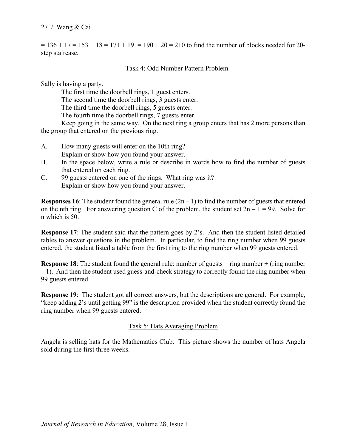$= 136 + 17 = 153 + 18 = 171 + 19 = 190 + 20 = 210$  to find the number of blocks needed for 20step staircase.

## Task 4: Odd Number Pattern Problem

Sally is having a party.

The first time the doorbell rings, 1 guest enters. The second time the doorbell rings, 3 guests enter. The third time the doorbell rings, 5 guests enter. The fourth time the doorbell rings, 7 guests enter. Keep going in the same way. On the next ring a group enters that has 2 more persons than

the group that entered on the previous ring.

- A. How many guests will enter on the 10th ring? Explain or show how you found your answer.
- B. In the space below, write a rule or describe in words how to find the number of guests that entered on each ring.
- C. 99 guests entered on one of the rings. What ring was it? Explain or show how you found your answer.

**Responses 16:** The student found the general rule  $(2n - 1)$  to find the number of guests that entered on the nth ring. For answering question C of the problem, the student set  $2n - 1 = 99$ . Solve for n which is 50.

**Response 17:** The student said that the pattern goes by 2's. And then the student listed detailed tables to answer questions in the problem. In particular, to find the ring number when 99 guests entered, the student listed a table from the first ring to the ring number when 99 guests entered.

**Response 18**: The student found the general rule: number of guests = ring number + (ring number – 1). And then the student used guess-and-check strategy to correctly found the ring number when 99 guests entered.

**Response 19**: The student got all correct answers, but the descriptions are general. For example, "keep adding 2's until getting 99" is the description provided when the student correctly found the ring number when 99 guests entered.

## Task 5: Hats Averaging Problem

Angela is selling hats for the Mathematics Club. This picture shows the number of hats Angela sold during the first three weeks.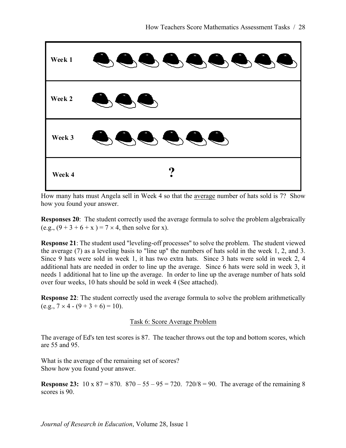

How many hats must Angela sell in Week 4 so that the average number of hats sold is 7? Show how you found your answer.

**Responses 20**: The student correctly used the average formula to solve the problem algebraically (e.g.,  $(9 + 3 + 6 + x) = 7 \times 4$ , then solve for x).

**Response 21**: The student used "leveling-off processes" to solve the problem. The student viewed the average (7) as a leveling basis to "line up" the numbers of hats sold in the week 1, 2, and 3. Since 9 hats were sold in week 1, it has two extra hats. Since 3 hats were sold in week 2, 4 additional hats are needed in order to line up the average. Since 6 hats were sold in week 3, it needs 1 additional hat to line up the average. In order to line up the average number of hats sold over four weeks, 10 hats should be sold in week 4 (See attached).

**Response 22**: The student correctly used the average formula to solve the problem arithmetically  $(e.g., 7 \times 4 - (9 + 3 + 6) = 10).$ 

# Task 6: Score Average Problem

The average of Ed's ten test scores is 87. The teacher throws out the top and bottom scores, which are 55 and 95.

What is the average of the remaining set of scores? Show how you found your answer.

**Response 23:**  $10 \times 87 = 870$ .  $870 - 55 - 95 = 720$ .  $720/8 = 90$ . The average of the remaining 8 scores is 90.